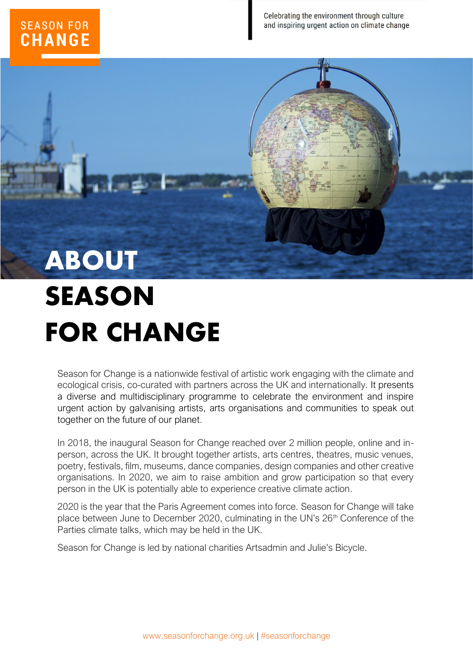### **SEASON FOR CHANGE**

Celebrating the environment through culture and inspiring urgent action on climate change

## **ABOUT SEASON FOR CHANGE**

Season for Change is a nationwide festival of artistic work engaging with the climate and ecological crisis, co-curated with partners across the UK and internationally. It presents a diverse and multidisciplinary programme to celebrate the environment and inspire urgent action by galvanising artists, arts organisations and communities to speak out together on the future of our planet.

In 2018, the inaugural Season for Change reached over 2 million people, online and inperson, across the UK. It brought together artists, arts centres, theatres, music venues, poetry, festivals, film, museums, dance companies, design companies and other creative organisations. In 2020, we aim to raise ambition and grow participation so that every person in the UK is potentially able to experience creative climate action.

2020 is the year that the Paris Agreement comes into force. Season for Change will take place between June to December 2020, culminating in the UN's 26<sup>th</sup> Conference of the Parties climate talks, which may be held in the UK.

Season for Change is led by national charities Artsadmin and Julie's Bicycle.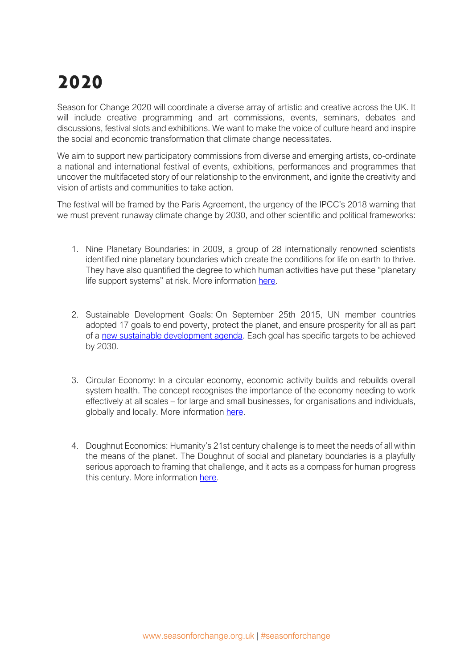### **2020**

Season for Change 2020 will coordinate a diverse array of artistic and creative across the UK. It will include creative programming and art commissions, events, seminars, debates and discussions, festival slots and exhibitions. We want to make the voice of culture heard and inspire the social and economic transformation that climate change necessitates.

We aim to support new participatory commissions from diverse and emerging artists, co-ordinate a national and international festival of events, exhibitions, performances and programmes that uncover the multifaceted story of our relationship to the environment, and ignite the creativity and vision of artists and communities to take action.

The festival will be framed by the Paris Agreement, the urgency of the IPCC's 2018 warning that we must prevent runaway climate change by 2030, and other scientific and political frameworks:

- 1. Nine Planetary Boundaries: in 2009, a group of 28 internationally renowned scientists identified nine planetary boundaries which create the conditions for life on earth to thrive. They have also quantified the degree to which human activities have put these "planetary life support systems" at risk. More information [here.](http://www.stockholmresilience.org/research/planetary-boundaries.html)
- 2. Sustainable Development Goals: On September 25th 2015, UN member countries adopted 17 goals to end poverty, protect the planet, and ensure prosperity for all as part of a [new sustainable development agenda.](http://www.un.org/ga/search/view_doc.asp?symbol=A/RES/70/1&Lang=E) Each goal has specific targets to be achieved by 2030.
- 3. Circular Economy: In a circular economy, economic activity builds and rebuilds overall system health. The concept recognises the importance of the economy needing to work effectively at all scales – for large and small businesses, for organisations and individuals, globally and locally. More information [here.](https://www.ellenmacarthurfoundation.org/circular-economy/overview/concept)
- 4. Doughnut Economics: Humanity's 21st century challenge is to meet the needs of all within the means of the planet. The Doughnut of social and planetary boundaries is a playfully serious approach to framing that challenge, and it acts as a compass for human progress this century. More information [here.](https://www.kateraworth.com/doughnut/)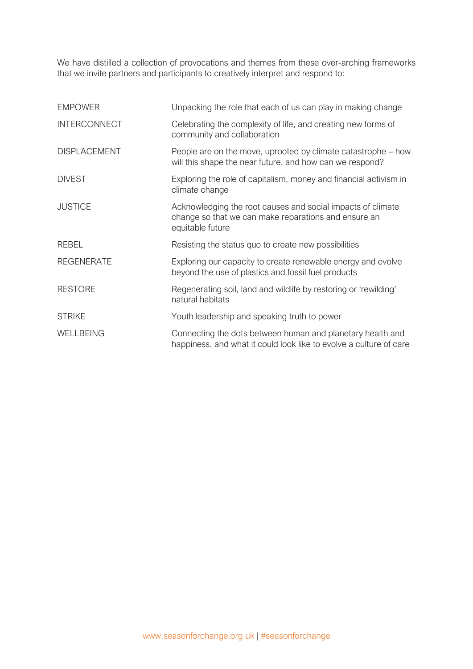We have distilled a collection of provocations and themes from these over-arching frameworks that we invite partners and participants to creatively interpret and respond to:

| <b>EMPOWER</b>      | Unpacking the role that each of us can play in making change                                                                            |
|---------------------|-----------------------------------------------------------------------------------------------------------------------------------------|
| <b>INTERCONNECT</b> | Celebrating the complexity of life, and creating new forms of<br>community and collaboration                                            |
| <b>DISPLACEMENT</b> | People are on the move, uprooted by climate catastrophe – how<br>will this shape the near future, and how can we respond?               |
| <b>DIVEST</b>       | Exploring the role of capitalism, money and financial activism in<br>climate change                                                     |
| <b>JUSTICE</b>      | Acknowledging the root causes and social impacts of climate<br>change so that we can make reparations and ensure an<br>equitable future |
| <b>REBEL</b>        | Resisting the status quo to create new possibilities                                                                                    |
| <b>REGENERATE</b>   | Exploring our capacity to create renewable energy and evolve<br>beyond the use of plastics and fossil fuel products                     |
| <b>RESTORE</b>      | Regenerating soil, land and wildlife by restoring or 'rewilding'<br>natural habitats                                                    |
| <b>STRIKE</b>       | Youth leadership and speaking truth to power                                                                                            |
| WELLBEING           | Connecting the dots between human and planetary health and<br>happiness, and what it could look like to evolve a culture of care        |